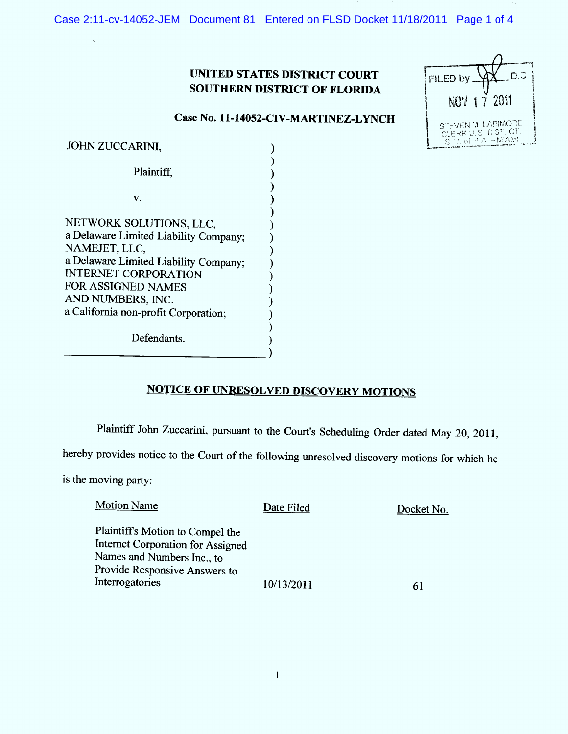Case 2:11-cv-14052-JEM Document 81 Entered on FLSD Docket 11/18/2011 Page 1 of 4

### UNITED STATES DISTRICT COURT **SOUTHERN DISTRICT OF FLORIDA**

| D.C.<br>FILED by.                                                   |
|---------------------------------------------------------------------|
| 2011<br>17<br>NOV                                                   |
| STEVEN M. LARIMORE<br>CLERK U.S. DIST. CT.<br>S. D. of FLA. - MIAMI |

### Case No. 11-14052-CIV-MARTINEZ-LYNCH

| <b>JOHN ZUCCARINI,</b>                |  |
|---------------------------------------|--|
| Plaintiff,                            |  |
| V.                                    |  |
|                                       |  |
| NETWORK SOLUTIONS, LLC,               |  |
| a Delaware Limited Liability Company; |  |
| NAMEJET, LLC,                         |  |
| a Delaware Limited Liability Company; |  |
| <b>INTERNET CORPORATION</b>           |  |
| FOR ASSIGNED NAMES                    |  |
| AND NUMBERS, INC.                     |  |
| a California non-profit Corporation;  |  |
| Defendants.                           |  |

# **NOTICE OF UNRESOLVED DISCOVERY MOTIONS**

Plaintiff John Zuccarini, pursuant to the Court's Scheduling Order dated May 20, 2011,

hereby provides notice to the Court of the following unresolved discovery motions for which he

is the moving party:

 $\bar{\Delta}$ 

| <b>Motion Name</b>                                                    | Date Filed | Docket No. |
|-----------------------------------------------------------------------|------------|------------|
| Plaintiff's Motion to Compel the<br>Internet Corporation for Assigned |            |            |
| Names and Numbers Inc., to                                            |            |            |
| Provide Responsive Answers to                                         |            |            |
| Interrogatories                                                       | 10/13/2011 |            |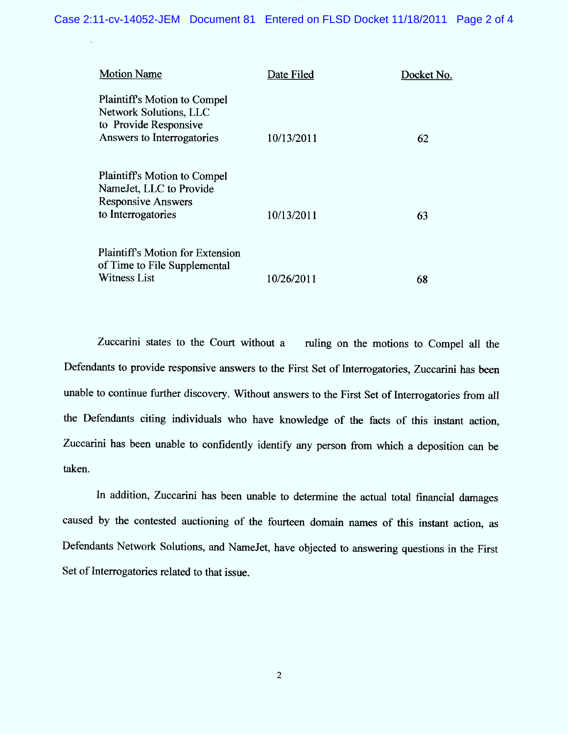| <b>Motion Name</b>                                                                                                   | Date Filed | Docket No. |
|----------------------------------------------------------------------------------------------------------------------|------------|------------|
| <b>Plaintiff's Motion to Compel</b><br>Network Solutions, LLC<br>to Provide Responsive<br>Answers to Interrogatories | 10/13/2011 | 62         |
| <b>Plaintiff's Motion to Compel</b><br>NameJet, LLC to Provide<br><b>Responsive Answers</b><br>to Interrogatories    | 10/13/2011 | 63         |
| <b>Plaintiff's Motion for Extension</b><br>of Time to File Supplemental<br><b>Witness List</b>                       | 10/26/2011 | 68         |

Zuccarini states to the Court without a ruling on the motions to Compel all the Defendants to provide responsive answers to the First Set of Interrogatories, Zuccarini has been unable to continue further discovery. Without answers to the First Set of Interrogatories from all the Defendants citing individuals who have knowledge of the facts of this instant action, Zuccarini has been unable to confidently identify any person from which a deposition can be taken.

In addition, Zuccarini has been unable to determine the actual total financial damages caused by the contested auctioning of the fourteen domain names of this instant action, as Defendants Network Solutions, and NameJet, have objected to answering questions in the First Set of Interrogatories related to that issue.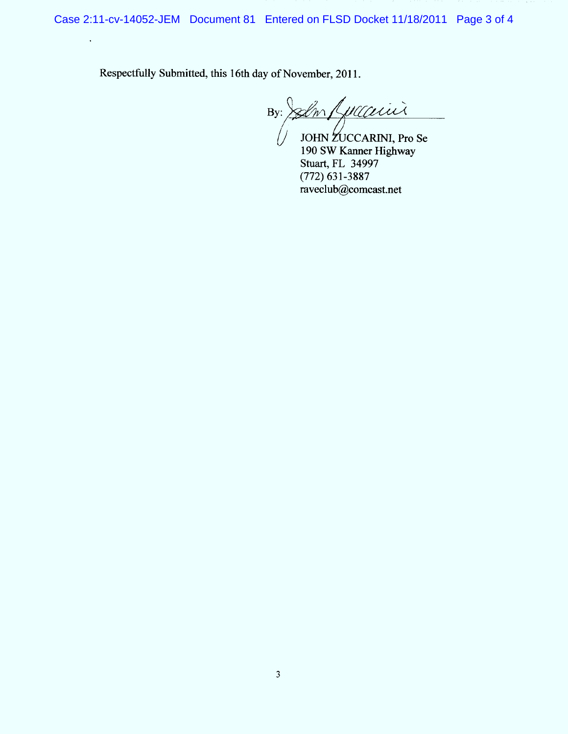Case 2:11-cv-14052-JEM Document 81 Entered on FLSD Docket 11/18/2011 Page 3 of 4

Respectfully Submitted, this 16th day of November, 2011.

 $\hat{\mathbf{r}}$ 

 $By: 20$ m Luccarrier /

// JOHN CCARINI, Pro Se 190 SW Kanner Highway Stuart, FL 34997 (772) 631-3887 raveclub@comcast.net